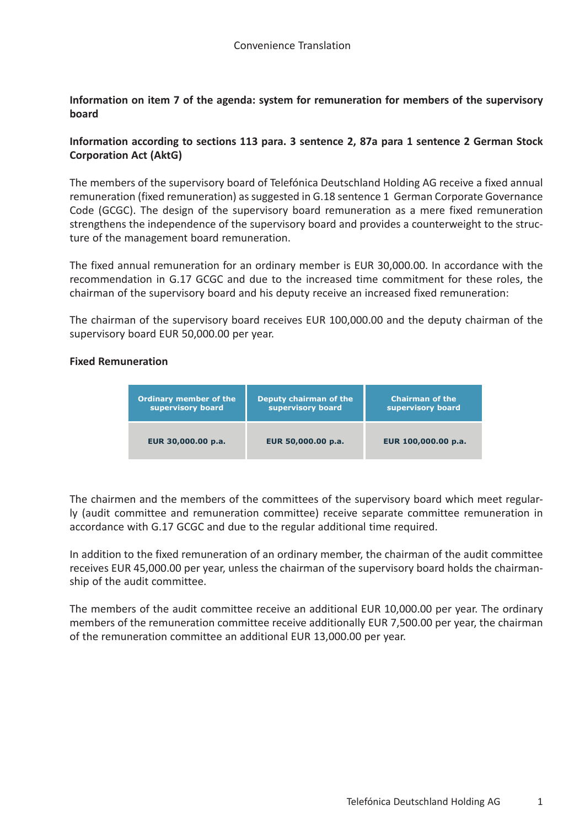**Information on item 7 of the agenda: system for remuneration for members of the supervisory board**

## **Information according to sections 113 para. 3 sentence 2, 87a para 1 sentence 2 German Stock Corporation Act (AktG)**

The members of the supervisory board of Telefónica Deutschland Holding AG receive a fixed annual remuneration (fixed remuneration) as suggested in G.18 sentence 1 German Corporate Governance Code (GCGC). The design of the supervisory board remuneration as a mere fixed remuneration strengthens the independence of the supervisory board and provides a counterweight to the structure of the management board remuneration.

The fixed annual remuneration for an ordinary member is EUR 30,000.00. In accordance with the recommendation in G.17 GCGC and due to the increased time commitment for these roles, the chairman of the supervisory board and his deputy receive an increased fixed remuneration:

The chairman of the supervisory board receives EUR 100,000.00 and the deputy chairman of the supervisory board EUR 50,000.00 per year.

## **Fixed Remuneration**



The chairmen and the members of the committees of the supervisory board which meet regularly (audit committee and remuneration committee) receive separate committee remuneration in accordance with G.17 GCGC and due to the regular additional time required.

In addition to the fixed remuneration of an ordinary member, the chairman of the audit committee receives EUR 45,000.00 per year, unless the chairman of the supervisory board holds the chairmanship of the audit committee.

The members of the audit committee receive an additional EUR 10,000.00 per year. The ordinary members of the remuneration committee receive additionally EUR 7,500.00 per year, the chairman of the remuneration committee an additional EUR 13,000.00 per year.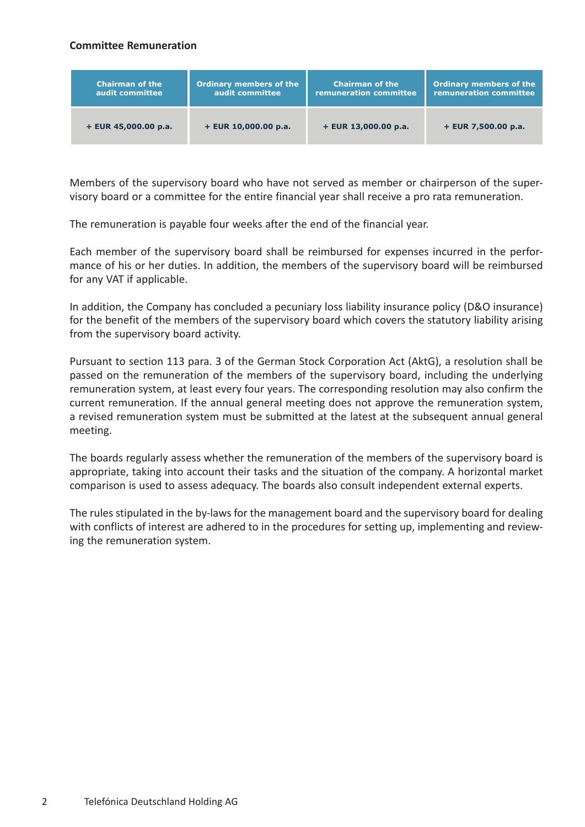## **Committee Remuneration**

| <b>Chairman of the</b> | <b>Ordinary members of the</b> | <b>Chairman of the</b> | Ordinary members of the |
|------------------------|--------------------------------|------------------------|-------------------------|
| audit committee        | audit committee                | remuneration committee | remuneration committee  |
| $+$ EUR 45,000.00 p.a. | $+$ EUR 10,000.00 p.a.         | $+$ EUR 13,000.00 p.a. | $+$ EUR 7,500.00 p.a.   |

Members of the supervisory board who have not served as member or chairperson of the supervisory board or a committee for the entire financial year shall receive a pro rata remuneration.

The remuneration is payable four weeks after the end of the financial year.

Each member of the supervisory board shall be reimbursed for expenses incurred in the performance of his or her duties. In addition, the members of the supervisory board will be reimbursed for any VAT if applicable.

In addition, the Company has concluded a pecuniary loss liability insurance policy (D&O insurance) for the benefit of the members of the supervisory board which covers the statutory liability arising from the supervisory board activity.

Pursuant to section 113 para. 3 of the German Stock Corporation Act (AktG), a resolution shall be passed on the remuneration of the members of the supervisory board, including the underlying remuneration system, at least every four years. The corresponding resolution may also confirm the current remuneration. If the annual general meeting does not approve the remuneration system, a revised remuneration system must be submitted at the latest at the subsequent annual general meeting.

The boards regularly assess whether the remuneration of the members of the supervisory board is appropriate, taking into account their tasks and the situation of the company. A horizontal market comparison is used to assess adequacy. The boards also consult independent external experts.

The rules stipulated in the by-laws for the management board and the supervisory board for dealing with conflicts of interest are adhered to in the procedures for setting up, implementing and reviewing the remuneration system.